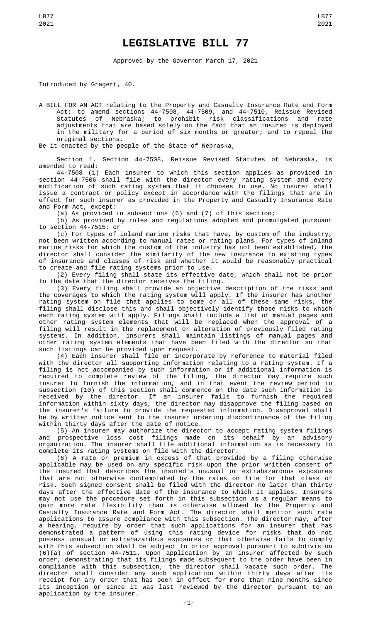## **LEGISLATIVE BILL 77**

Approved by the Governor March 17, 2021

Introduced by Gragert, 40.

A BILL FOR AN ACT relating to the Property and Casualty Insurance Rate and Form Act; to amend sections 44-7508, 44-7509, and 44-7510, Reissue Revised Statutes of Nebraska; to prohibit risk classifications and rate adjustments that are based solely on the fact that an insured is deployed in the military for a period of six months or greater; and to repeal the original sections.

Be it enacted by the people of the State of Nebraska,

Section 1. Section 44-7508, Reissue Revised Statutes of Nebraska, is amended to read:

44-7508 (1) Each insurer to which this section applies as provided in section 44-7506 shall file with the director every rating system and every modification of such rating system that it chooses to use. No insurer shall issue a contract or policy except in accordance with the filings that are in effect for such insurer as provided in the Property and Casualty Insurance Rate and Form Act, except:

(a) As provided in subsections (6) and (7) of this section;

(b) As provided by rules and regulations adopted and promulgated pursuant to section 44-7515; or

(c) For types of inland marine risks that have, by custom of the industry, not been written according to manual rates or rating plans. For types of inland marine risks for which the custom of the industry has not been established, the director shall consider the similarity of the new insurance to existing types of insurance and classes of risk and whether it would be reasonably practical to create and file rating systems prior to use.

(2) Every filing shall state its effective date, which shall not be prior to the date that the director receives the filing.

(3) Every filing shall provide an objective description of the risks and the coverages to which the rating system will apply. If the insurer has another rating system on file that applies to some or all of these same risks, the filing shall disclose this and shall objectively identify those risks to which each rating system will apply. Filings shall include a list of manual pages and other rating system elements that will be replaced when the approval of a filing will result in the replacement or alteration of previously filed rating systems. In addition, insurers shall maintain listings of manual pages and other rating system elements that have been filed with the director so that such listings can be provided upon request.

(4) Each insurer shall file or incorporate by reference to material filed with the director all supporting information relating to a rating system. If a filing is not accompanied by such information or if additional information is required to complete review of the filing, the director may require such insurer to furnish the information, and in that event the review period in subsection (10) of this section shall commence on the date such information is received by the director. If an insurer fails to furnish the required information within sixty days, the director may disapprove the filing based on the insurer's failure to provide the requested information. Disapproval shall be by written notice sent to the insurer ordering discontinuance of the filing within thirty days after the date of notice.

(5) An insurer may authorize the director to accept rating system filings and prospective loss cost filings made on its behalf by an advisory organization. The insurer shall file additional information as is necessary to complete its rating systems on file with the director.

(6) A rate or premium in excess of that provided by a filing otherwise applicable may be used on any specific risk upon the prior written consent of the insured that describes the insured's unusual or extrahazardous exposures that are not otherwise contemplated by the rates on file for that class of risk. Such signed consent shall be filed with the director no later than thirty days after the effective date of the insurance to which it applies. Insurers may not use the procedure set forth in this subsection as a regular means to gain more rate flexibility than is otherwise allowed by the Property and Casualty Insurance Rate and Form Act. The director shall monitor such rate applications to assure compliance with this subsection. The director may, after a hearing, require by order that such applications for an insurer that has demonstrated a pattern of using this rating device for risks that do not possess unusual or extrahazardous exposures or that otherwise fails to comply with this subsection shall be subject to prior approval pursuant to subdivision (6)(a) of section 44-7511. Upon application by an insurer affected by such order, demonstrating that its filings made subsequent to the order have been in compliance with this subsection, the director shall vacate such order. The director shall consider any such application within thirty days after its receipt for any order that has been in effect for more than nine months since its inception or since it was last reviewed by the director pursuant to an application by the insurer.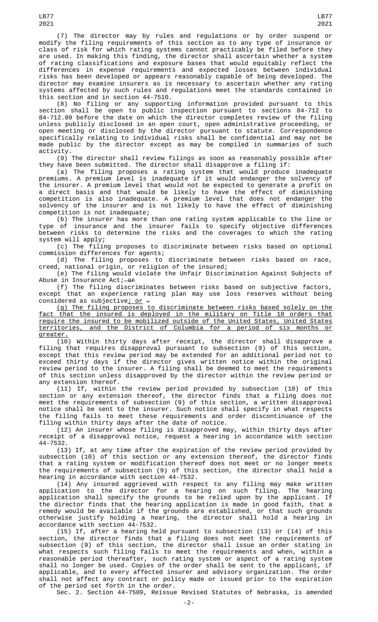(7) The director may by rules and regulations or by order suspend or modify the filing requirements of this section as to any type of insurance or class of risk for which rating systems cannot practicably be filed before they are used. In making this finding, the director shall ascertain whether a system of rating classifications and exposure bases that would equitably reflect the differences in expense requirements and expected losses between individual risks has been developed or appears reasonably capable of being developed. The director may examine insurers as is necessary to ascertain whether any rating systems affected by such rules and regulations meet the standards contained in this section and in section 44-7510.

(8) No filing or any supporting information provided pursuant to this section shall be open to public inspection pursuant to sections 84-712 to 84-712.09 before the date on which the director completes review of the filing unless publicly disclosed in an open court, open administrative proceeding, or open meeting or disclosed by the director pursuant to statute. Correspondence specifically relating to individual risks shall be confidential and may not be made public by the director except as may be compiled in summaries of such activity.

(9) The director shall review filings as soon as reasonably possible after they have been submitted. The director shall disapprove a filing if:

(a) The filing proposes a rating system that would produce inadequate premiums. A premium level is inadequate if it would endanger the solvency of the insurer. A premium level that would not be expected to generate a profit on a direct basis and that would be likely to have the effect of diminishing competition is also inadequate. A premium level that does not endanger the solvency of the insurer and is not likely to have the effect of diminishing competition is not inadequate;

(b) The insurer has more than one rating system applicable to the line or type of insurance and the insurer fails to specify objective differences between risks to determine the risks and the coverages to which the rating system will apply;

(c) The filing proposes to discriminate between risks based on optional commission differences for agents;

(d) The filing proposes to discriminate between risks based on race, creed, national origin, or religion of the insured;

(e) The filing would violate the Unfair Discrimination Against Subjects of Abuse in Insurance Act; or

(f) The filing discriminates between risks based on subjective factors, except that an experience rating plan may use loss reserves without being considered as subjective<u>; or</u>  $-$ 

(g) The filing proposes to discriminate between risks based solely on the fact that the insured is deployed in the military on Title 10 orders that require the insured to be mobilized outside of the United States, United States territories, and the District of Columbia for a period of six months or greater.

(10) Within thirty days after receipt, the director shall disapprove a filing that requires disapproval pursuant to subsection (9) of this section, except that this review period may be extended for an additional period not to exceed thirty days if the director gives written notice within the original review period to the insurer. A filing shall be deemed to meet the requirements of this section unless disapproved by the director within the review period or any extension thereof.

(11) If, within the review period provided by subsection (10) of this section or any extension thereof, the director finds that a filing does not meet the requirements of subsection (9) of this section, a written disapproval notice shall be sent to the insurer. Such notice shall specify in what respects the filing fails to meet these requirements and order discontinuance of the filing within thirty days after the date of notice.

(12) An insurer whose filing is disapproved may, within thirty days after receipt of a disapproval notice, request a hearing in accordance with section 44-7532.

(13) If, at any time after the expiration of the review period provided by subsection (10) of this section or any extension thereof, the director finds that a rating system or modification thereof does not meet or no longer meets the requirements of subsection (9) of this section, the director shall hold a hearing in accordance with section 44-7532.

 $(14)$  Any insured aggrieved with respect to any filing may make written application to the director for a hearing on such filing. The hearing application shall specify the grounds to be relied upon by the applicant. If the director finds that the hearing application is made in good faith, that a remedy would be available if the grounds are established, or that such grounds otherwise justify holding a hearing, the director shall hold a hearing in accordance with section 44-7532.

(15) If, after a hearing held pursuant to subsection (13) or (14) of this section, the director finds that a filing does not meet the requirements of subsection (9) of this section, the director shall issue an order stating in what respects such filing fails to meet the requirements and when, within a reasonable period thereafter, such rating system or aspect of a rating system shall no longer be used. Copies of the order shall be sent to the applicant, if applicable, and to every affected insurer and advisory organization. The order shall not affect any contract or policy made or issued prior to the expiration of the period set forth in the order.

Sec. 2. Section 44-7509, Reissue Revised Statutes of Nebraska, is amended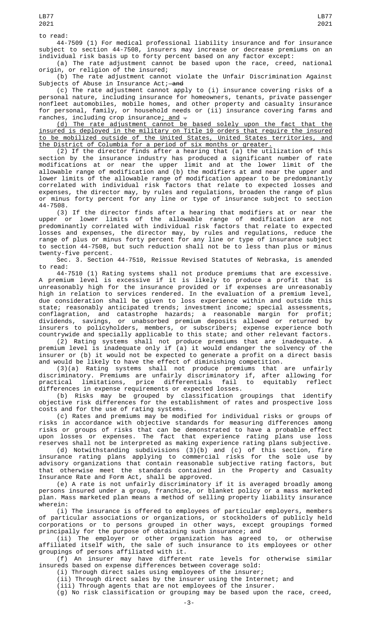to read:

44-7509 (1) For medical professional liability insurance and for insurance subject to section 44-7508, insurers may increase or decrease premiums on an individual risk basis up to forty percent based on any factor except:

(a) The rate adjustment cannot be based upon the race, creed, national origin, or religion of the insured;

(b) The rate adjustment cannot violate the Unfair Discrimination Against Subjects of Abuse in Insurance Act;—<del>and</del>

(c) The rate adjustment cannot apply to (i) insurance covering risks of a personal nature, including insurance for homeowners, tenants, private passenger nonfleet automobiles, mobile homes, and other property and casualty insurance for personal, family, or household needs or (ii) insurance covering farms and ranches, including crop insurance<u>; and</u>  $\pm$ 

(d) The rate adjustment cannot be based solely upon the fact that the insured is deployed in the military on Title 10 orders that require the insured to be mobilized outside of the United States, United States territories, and the District of Columbia for a period of six months or greater.

(2) If the director finds after a hearing that (a) the utilization of this section by the insurance industry has produced a significant number of rate modifications at or near the upper limit and at the lower limit of the allowable range of modification and (b) the modifiers at and near the upper and lower limits of the allowable range of modification appear to be predominantly correlated with individual risk factors that relate to expected losses and expenses, the director may, by rules and regulations, broaden the range of plus or minus forty percent for any line or type of insurance subject to section 44-7508.

(3) If the director finds after a hearing that modifiers at or near the upper or lower limits of the allowable range of modification are not predominantly correlated with individual risk factors that relate to expected losses and expenses, the director may, by rules and regulations, reduce the range of plus or minus forty percent for any line or type of insurance subject to section 44-7508, but such reduction shall not be to less than plus or minus twenty-five percent.

Sec. 3. Section 44-7510, Reissue Revised Statutes of Nebraska, is amended to read:

44-7510 (1) Rating systems shall not produce premiums that are excessive. A premium level is excessive if it is likely to produce a profit that is unreasonably high for the insurance provided or if expenses are unreasonably high in relation to services rendered. In the evaluation of a premium level, due consideration shall be given to loss experience within and outside this state; reasonably anticipated trends; investment income; special assessments, conflagration, and catastrophe hazards; a reasonable margin for profit; dividends, savings, or unabsorbed premium deposits allowed or returned by insurers to policyholders, members, or subscribers; expense experience both countrywide and specially applicable to this state; and other relevant factors.

(2) Rating systems shall not produce premiums that are inadequate. A premium level is inadequate only if (a) it would endanger the solvency of the insurer or (b) it would not be expected to generate a profit on a direct basis and would be likely to have the effect of diminishing competition.

(3)(a) Rating systems shall not produce premiums that are unfairly discriminatory. Premiums are unfairly discriminatory if, after allowing for practical limitations, price differentials fail to equitably reflect differences in expense requirements or expected losses.

(b) Risks may be grouped by classification groupings that identify objective risk differences for the establishment of rates and prospective loss costs and for the use of rating systems.

(c) Rates and premiums may be modified for individual risks or groups of risks in accordance with objective standards for measuring differences among risks or groups of risks that can be demonstrated to have a probable effect upon losses or expenses. The fact that experience rating plans use loss reserves shall not be interpreted as making experience rating plans subjective.

(d) Notwithstanding subdivisions (3)(b) and (c) of this section, fire insurance rating plans applying to commercial risks for the sole use by advisory organizations that contain reasonable subjective rating factors, but that otherwise meet the standards contained in the Property and Casualty Insurance Rate and Form Act, shall be approved.

(e) A rate is not unfairly discriminatory if it is averaged broadly among persons insured under a group, franchise, or blanket policy or a mass marketed plan. Mass marketed plan means a method of selling property liability insurance wherein:

(i) The insurance is offered to employees of particular employers, members of particular associations or organizations, or stockholders of publicly held corporations or to persons grouped in other ways, except groupings formed principally for the purpose of obtaining such insurance; and

(ii) The employer or other organization has agreed to, or otherwise affiliated itself with, the sale of such insurance to its employees or other groupings of persons affiliated with it.

(f) An insurer may have different rate levels for otherwise similar insureds based on expense differences between coverage sold:

(i) Through direct sales using employees of the insurer;

(ii) Through direct sales by the insurer using the Internet; and

(iii) Through agents that are not employees of the insurer.

(g) No risk classification or grouping may be based upon the race, creed,